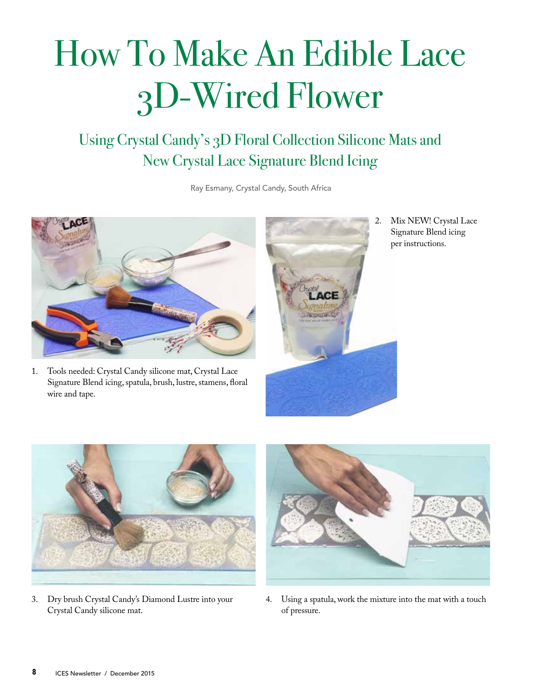## How To Make An Edible Lace 3D-Wired Flower

Using Crystal Candy's 3D Floral Collection Silicone Mats and New Crystal Lace Signature Blend Icing

Ray Esmany, Crystal Candy, South Africa



- 1. Tools needed: Crystal Candy silicone mat, Crystal Lace Signature Blend icing, spatula, brush, lustre, stamens, floral wire and tape.
- 
- 2. Mix NEW! Crystal Lace Signature Blend icing per instructions.



3. Dry brush Crystal Candy's Diamond Lustre into your Crystal Candy silicone mat.



4. Using a spatula, work the mixture into the mat with a touch of pressure.